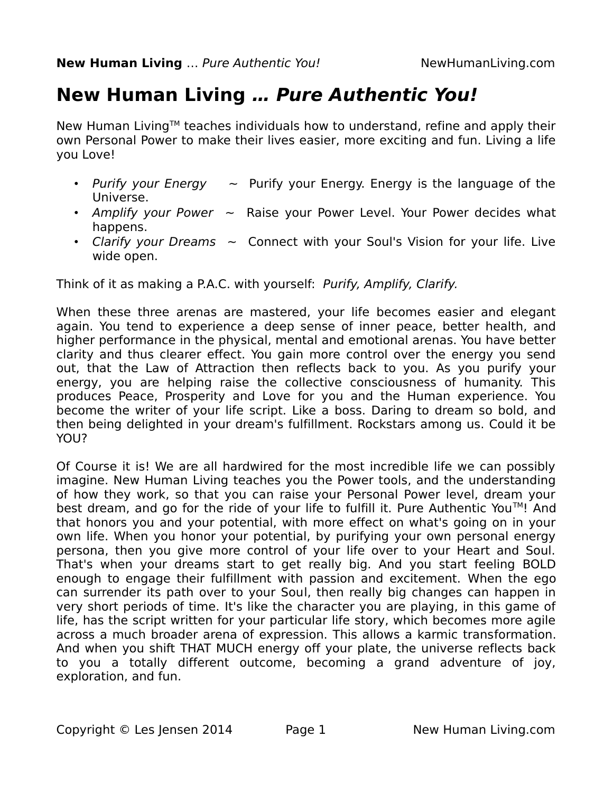# **New Human Living … Pure Authentic You!**

New Human Living™ teaches individuals how to understand, refine and apply their own Personal Power to make their lives easier, more exciting and fun. Living a life you Love!

- Purify your Energy  $\sim$  Purify your Energy. Energy is the language of the Universe.
- Amplify your Power  $\sim$  Raise your Power Level. Your Power decides what happens.
- Clarify your Dreams  $\sim$  Connect with your Soul's Vision for your life. Live wide open.

Think of it as making a P.A.C. with yourself: Purify, Amplify, Clarify.

When these three arenas are mastered, your life becomes easier and elegant again. You tend to experience a deep sense of inner peace, better health, and higher performance in the physical, mental and emotional arenas. You have better clarity and thus clearer effect. You gain more control over the energy you send out, that the Law of Attraction then reflects back to you. As you purify your energy, you are helping raise the collective consciousness of humanity. This produces Peace, Prosperity and Love for you and the Human experience. You become the writer of your life script. Like a boss. Daring to dream so bold, and then being delighted in your dream's fulfillment. Rockstars among us. Could it be YOU?

Of Course it is! We are all hardwired for the most incredible life we can possibly imagine. New Human Living teaches you the Power tools, and the understanding of how they work, so that you can raise your Personal Power level, dream your best dream, and go for the ride of your life to fulfill it. Pure Authentic You<sup>TM</sup>! And that honors you and your potential, with more effect on what's going on in your own life. When you honor your potential, by purifying your own personal energy persona, then you give more control of your life over to your Heart and Soul. That's when your dreams start to get really big. And you start feeling BOLD enough to engage their fulfillment with passion and excitement. When the ego can surrender its path over to your Soul, then really big changes can happen in very short periods of time. It's like the character you are playing, in this game of life, has the script written for your particular life story, which becomes more agile across a much broader arena of expression. This allows a karmic transformation. And when you shift THAT MUCH energy off your plate, the universe reflects back to you a totally different outcome, becoming a grand adventure of joy, exploration, and fun.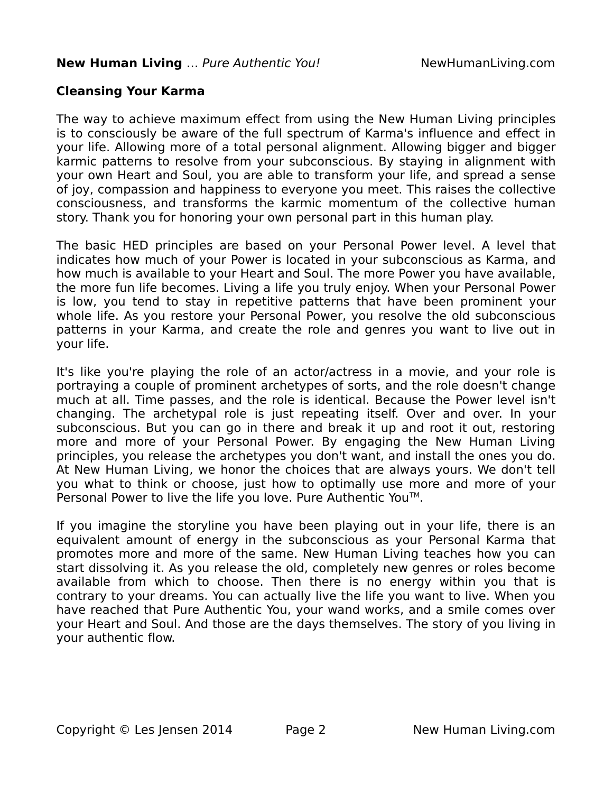# **Cleansing Your Karma**

The way to achieve maximum effect from using the New Human Living principles is to consciously be aware of the full spectrum of Karma's influence and effect in your life. Allowing more of a total personal alignment. Allowing bigger and bigger karmic patterns to resolve from your subconscious. By staying in alignment with your own Heart and Soul, you are able to transform your life, and spread a sense of joy, compassion and happiness to everyone you meet. This raises the collective consciousness, and transforms the karmic momentum of the collective human story. Thank you for honoring your own personal part in this human play.

The basic HED principles are based on your Personal Power level. A level that indicates how much of your Power is located in your subconscious as Karma, and how much is available to your Heart and Soul. The more Power you have available, the more fun life becomes. Living a life you truly enjoy. When your Personal Power is low, you tend to stay in repetitive patterns that have been prominent your whole life. As you restore your Personal Power, you resolve the old subconscious patterns in your Karma, and create the role and genres you want to live out in your life.

It's like you're playing the role of an actor/actress in a movie, and your role is portraying a couple of prominent archetypes of sorts, and the role doesn't change much at all. Time passes, and the role is identical. Because the Power level isn't changing. The archetypal role is just repeating itself. Over and over. In your subconscious. But you can go in there and break it up and root it out, restoring more and more of your Personal Power. By engaging the New Human Living principles, you release the archetypes you don't want, and install the ones you do. At New Human Living, we honor the choices that are always yours. We don't tell you what to think or choose, just how to optimally use more and more of your Personal Power to live the life you love. Pure Authentic You™.

If you imagine the storyline you have been playing out in your life, there is an equivalent amount of energy in the subconscious as your Personal Karma that promotes more and more of the same. New Human Living teaches how you can start dissolving it. As you release the old, completely new genres or roles become available from which to choose. Then there is no energy within you that is contrary to your dreams. You can actually live the life you want to live. When you have reached that Pure Authentic You, your wand works, and a smile comes over your Heart and Soul. And those are the days themselves. The story of you living in your authentic flow.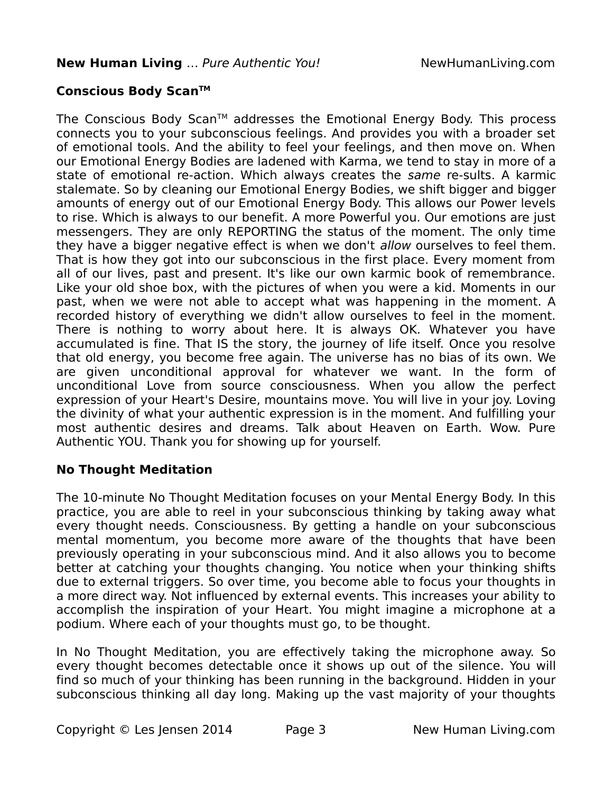# **Conscious Body ScanTM**

The Conscious Body Scan™ addresses the Emotional Energy Body. This process connects you to your subconscious feelings. And provides you with a broader set of emotional tools. And the ability to feel your feelings, and then move on. When our Emotional Energy Bodies are ladened with Karma, we tend to stay in more of a state of emotional re-action. Which always creates the same re-sults. A karmic stalemate. So by cleaning our Emotional Energy Bodies, we shift bigger and bigger amounts of energy out of our Emotional Energy Body. This allows our Power levels to rise. Which is always to our benefit. A more Powerful you. Our emotions are just messengers. They are only REPORTING the status of the moment. The only time they have a bigger negative effect is when we don't *allow* ourselves to feel them. That is how they got into our subconscious in the first place. Every moment from all of our lives, past and present. It's like our own karmic book of remembrance. Like your old shoe box, with the pictures of when you were a kid. Moments in our past, when we were not able to accept what was happening in the moment. A recorded history of everything we didn't allow ourselves to feel in the moment. There is nothing to worry about here. It is always OK. Whatever you have accumulated is fine. That IS the story, the journey of life itself. Once you resolve that old energy, you become free again. The universe has no bias of its own. We are given unconditional approval for whatever we want. In the form of unconditional Love from source consciousness. When you allow the perfect expression of your Heart's Desire, mountains move. You will live in your joy. Loving the divinity of what your authentic expression is in the moment. And fulfilling your most authentic desires and dreams. Talk about Heaven on Earth. Wow. Pure Authentic YOU. Thank you for showing up for yourself.

## **No Thought Meditation**

The 10-minute No Thought Meditation focuses on your Mental Energy Body. In this practice, you are able to reel in your subconscious thinking by taking away what every thought needs. Consciousness. By getting a handle on your subconscious mental momentum, you become more aware of the thoughts that have been previously operating in your subconscious mind. And it also allows you to become better at catching your thoughts changing. You notice when your thinking shifts due to external triggers. So over time, you become able to focus your thoughts in a more direct way. Not influenced by external events. This increases your ability to accomplish the inspiration of your Heart. You might imagine a microphone at a podium. Where each of your thoughts must go, to be thought.

In No Thought Meditation, you are effectively taking the microphone away. So every thought becomes detectable once it shows up out of the silence. You will find so much of your thinking has been running in the background. Hidden in your subconscious thinking all day long. Making up the vast majority of your thoughts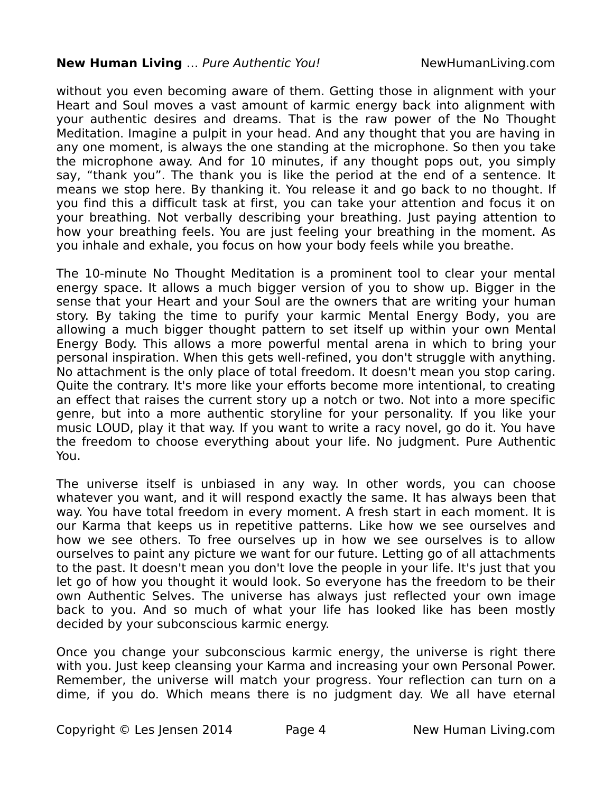#### **New Human Living** ... Pure Authentic You! NewHumanLiving.com

without you even becoming aware of them. Getting those in alignment with your Heart and Soul moves a vast amount of karmic energy back into alignment with your authentic desires and dreams. That is the raw power of the No Thought Meditation. Imagine a pulpit in your head. And any thought that you are having in any one moment, is always the one standing at the microphone. So then you take the microphone away. And for 10 minutes, if any thought pops out, you simply say, "thank you". The thank you is like the period at the end of a sentence. It means we stop here. By thanking it. You release it and go back to no thought. If you find this a difficult task at first, you can take your attention and focus it on your breathing. Not verbally describing your breathing. Just paying attention to how your breathing feels. You are just feeling your breathing in the moment. As you inhale and exhale, you focus on how your body feels while you breathe.

The 10-minute No Thought Meditation is a prominent tool to clear your mental energy space. It allows a much bigger version of you to show up. Bigger in the sense that your Heart and your Soul are the owners that are writing your human story. By taking the time to purify your karmic Mental Energy Body, you are allowing a much bigger thought pattern to set itself up within your own Mental Energy Body. This allows a more powerful mental arena in which to bring your personal inspiration. When this gets well-refined, you don't struggle with anything. No attachment is the only place of total freedom. It doesn't mean you stop caring. Quite the contrary. It's more like your efforts become more intentional, to creating an effect that raises the current story up a notch or two. Not into a more specific genre, but into a more authentic storyline for your personality. If you like your music LOUD, play it that way. If you want to write a racy novel, go do it. You have the freedom to choose everything about your life. No judgment. Pure Authentic You.

The universe itself is unbiased in any way. In other words, you can choose whatever you want, and it will respond exactly the same. It has always been that way. You have total freedom in every moment. A fresh start in each moment. It is our Karma that keeps us in repetitive patterns. Like how we see ourselves and how we see others. To free ourselves up in how we see ourselves is to allow ourselves to paint any picture we want for our future. Letting go of all attachments to the past. It doesn't mean you don't love the people in your life. It's just that you let go of how you thought it would look. So everyone has the freedom to be their own Authentic Selves. The universe has always just reflected your own image back to you. And so much of what your life has looked like has been mostly decided by your subconscious karmic energy.

Once you change your subconscious karmic energy, the universe is right there with you. Just keep cleansing your Karma and increasing your own Personal Power. Remember, the universe will match your progress. Your reflection can turn on a dime, if you do. Which means there is no judgment day. We all have eternal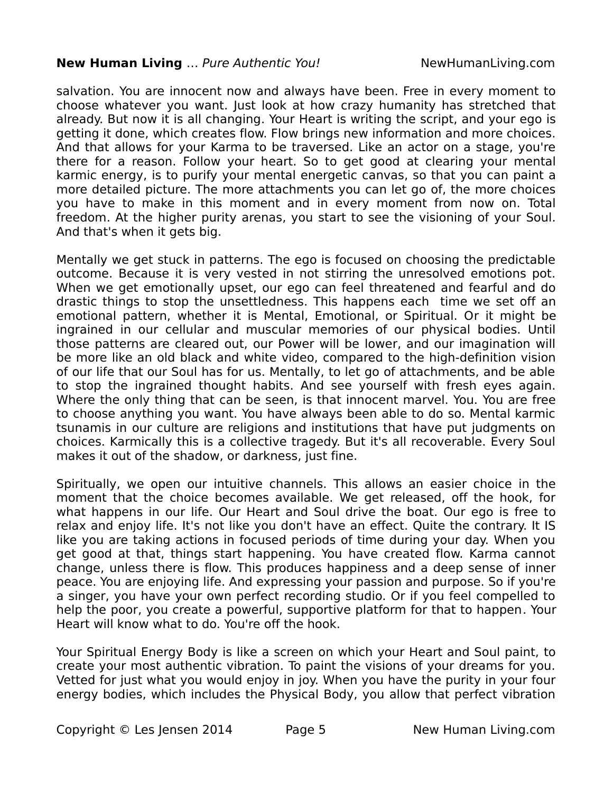#### **New Human Living** ... Pure Authentic You! NewHumanLiving.com

salvation. You are innocent now and always have been. Free in every moment to choose whatever you want. Just look at how crazy humanity has stretched that already. But now it is all changing. Your Heart is writing the script, and your ego is getting it done, which creates flow. Flow brings new information and more choices. And that allows for your Karma to be traversed. Like an actor on a stage, you're there for a reason. Follow your heart. So to get good at clearing your mental karmic energy, is to purify your mental energetic canvas, so that you can paint a more detailed picture. The more attachments you can let go of, the more choices you have to make in this moment and in every moment from now on. Total freedom. At the higher purity arenas, you start to see the visioning of your Soul. And that's when it gets big.

Mentally we get stuck in patterns. The ego is focused on choosing the predictable outcome. Because it is very vested in not stirring the unresolved emotions pot. When we get emotionally upset, our ego can feel threatened and fearful and do drastic things to stop the unsettledness. This happens each time we set off an emotional pattern, whether it is Mental, Emotional, or Spiritual. Or it might be ingrained in our cellular and muscular memories of our physical bodies. Until those patterns are cleared out, our Power will be lower, and our imagination will be more like an old black and white video, compared to the high-definition vision of our life that our Soul has for us. Mentally, to let go of attachments, and be able to stop the ingrained thought habits. And see yourself with fresh eyes again. Where the only thing that can be seen, is that innocent marvel. You. You are free to choose anything you want. You have always been able to do so. Mental karmic tsunamis in our culture are religions and institutions that have put judgments on choices. Karmically this is a collective tragedy. But it's all recoverable. Every Soul makes it out of the shadow, or darkness, just fine.

Spiritually, we open our intuitive channels. This allows an easier choice in the moment that the choice becomes available. We get released, off the hook, for what happens in our life. Our Heart and Soul drive the boat. Our ego is free to relax and enjoy life. It's not like you don't have an effect. Quite the contrary. It IS like you are taking actions in focused periods of time during your day. When you get good at that, things start happening. You have created flow. Karma cannot change, unless there is flow. This produces happiness and a deep sense of inner peace. You are enjoying life. And expressing your passion and purpose. So if you're a singer, you have your own perfect recording studio. Or if you feel compelled to help the poor, you create a powerful, supportive platform for that to happen. Your Heart will know what to do. You're off the hook.

Your Spiritual Energy Body is like a screen on which your Heart and Soul paint, to create your most authentic vibration. To paint the visions of your dreams for you. Vetted for just what you would enjoy in joy. When you have the purity in your four energy bodies, which includes the Physical Body, you allow that perfect vibration